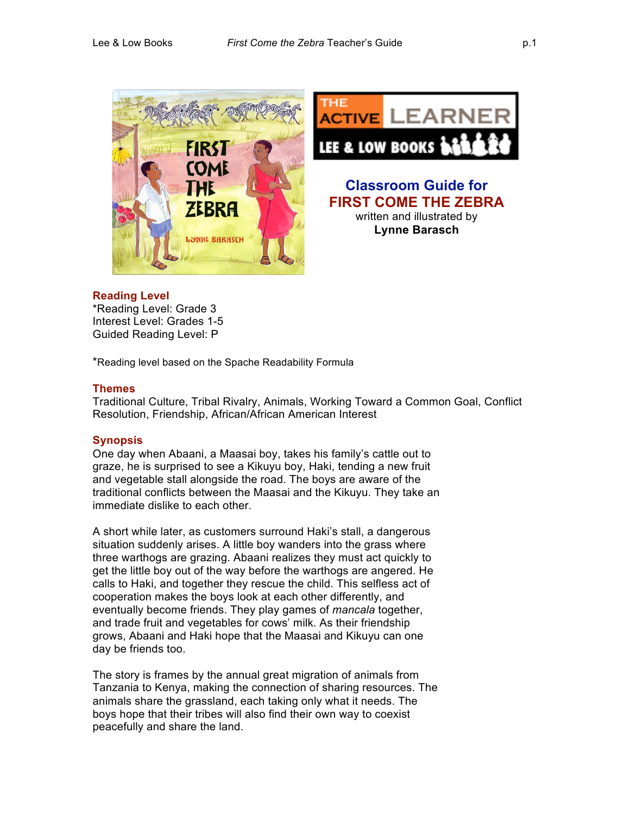



**Classroom Guide for FIRST COME THE ZEBRA** written and illustrated by **Lynne Barasch**

## **Reading Level**

\*Reading Level: Grade 3 Interest Level: Grades 1-5 Guided Reading Level: P

\*Reading level based on the Spache Readability Formula

## **Themes**

Traditional Culture, Tribal Rivalry, Animals, Working Toward a Common Goal, Conflict Resolution, Friendship, African/African American Interest

## **Synopsis**

One day when Abaani, a Maasai boy, takes his family's cattle out to graze, he is surprised to see a Kikuyu boy, Haki, tending a new fruit and vegetable stall alongside the road. The boys are aware of the traditional conflicts between the Maasai and the Kikuyu. They take an immediate dislike to each other.

A short while later, as customers surround Haki's stall, a dangerous situation suddenly arises. A little boy wanders into the grass where three warthogs are grazing. Abaani realizes they must act quickly to get the little boy out of the way before the warthogs are angered. He calls to Haki, and together they rescue the child. This selfless act of cooperation makes the boys look at each other differently, and eventually become friends. They play games of *mancala* together, and trade fruit and vegetables for cows' milk. As their friendship grows, Abaani and Haki hope that the Maasai and Kikuyu can one day be friends too.

The story is frames by the annual great migration of animals from Tanzania to Kenya, making the connection of sharing resources. The animals share the grassland, each taking only what it needs. The boys hope that their tribes will also find their own way to coexist peacefully and share the land.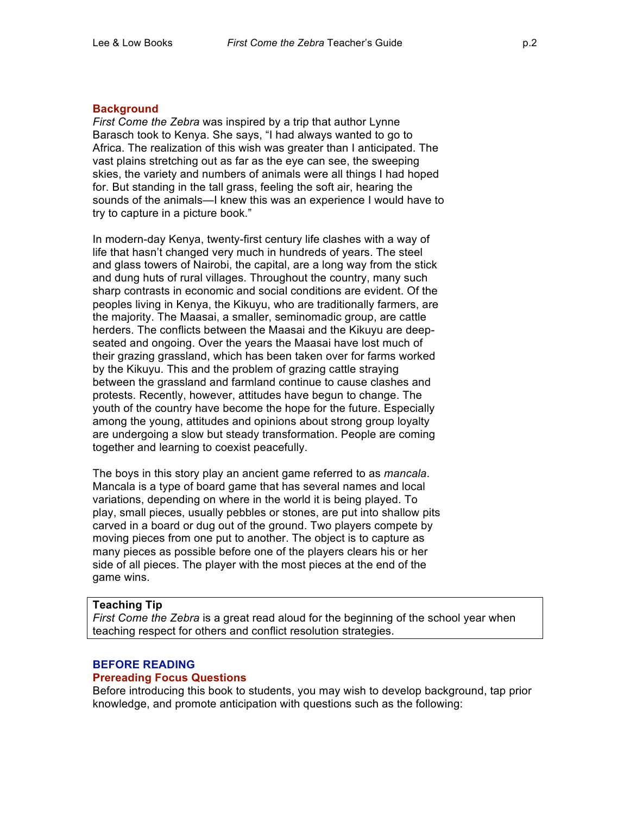## **Background**

*First Come the Zebra* was inspired by a trip that author Lynne Barasch took to Kenya. She says, "I had always wanted to go to Africa. The realization of this wish was greater than I anticipated. The vast plains stretching out as far as the eye can see, the sweeping skies, the variety and numbers of animals were all things I had hoped for. But standing in the tall grass, feeling the soft air, hearing the sounds of the animals—I knew this was an experience I would have to try to capture in a picture book."

In modern-day Kenya, twenty-first century life clashes with a way of life that hasn't changed very much in hundreds of years. The steel and glass towers of Nairobi, the capital, are a long way from the stick and dung huts of rural villages. Throughout the country, many such sharp contrasts in economic and social conditions are evident. Of the peoples living in Kenya, the Kikuyu, who are traditionally farmers, are the majority. The Maasai, a smaller, seminomadic group, are cattle herders. The conflicts between the Maasai and the Kikuyu are deepseated and ongoing. Over the years the Maasai have lost much of their grazing grassland, which has been taken over for farms worked by the Kikuyu. This and the problem of grazing cattle straying between the grassland and farmland continue to cause clashes and protests. Recently, however, attitudes have begun to change. The youth of the country have become the hope for the future. Especially among the young, attitudes and opinions about strong group loyalty are undergoing a slow but steady transformation. People are coming together and learning to coexist peacefully.

The boys in this story play an ancient game referred to as *mancala*. Mancala is a type of board game that has several names and local variations, depending on where in the world it is being played. To play, small pieces, usually pebbles or stones, are put into shallow pits carved in a board or dug out of the ground. Two players compete by moving pieces from one put to another. The object is to capture as many pieces as possible before one of the players clears his or her side of all pieces. The player with the most pieces at the end of the game wins.

### **Teaching Tip**

*First Come the Zebra* is a great read aloud for the beginning of the school year when teaching respect for others and conflict resolution strategies.

### **BEFORE READING Prereading Focus Questions**

# Before introducing this book to students, you may wish to develop background, tap prior knowledge, and promote anticipation with questions such as the following: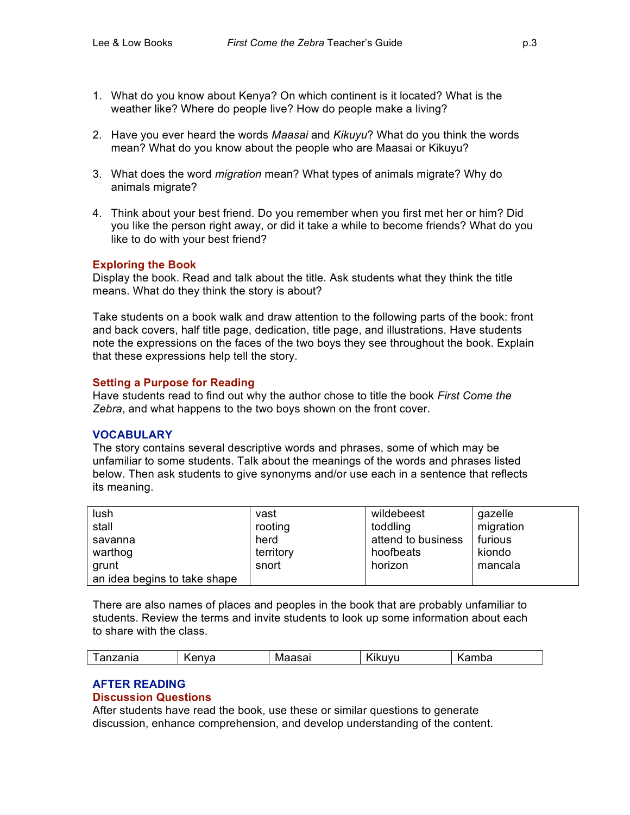- 1. What do you know about Kenya? On which continent is it located? What is the weather like? Where do people live? How do people make a living?
- 2. Have you ever heard the words *Maasai* and *Kikuyu*? What do you think the words mean? What do you know about the people who are Maasai or Kikuyu?
- 3. What does the word *migration* mean? What types of animals migrate? Why do animals migrate?
- 4. Think about your best friend. Do you remember when you first met her or him? Did you like the person right away, or did it take a while to become friends? What do you like to do with your best friend?

## **Exploring the Book**

Display the book. Read and talk about the title. Ask students what they think the title means. What do they think the story is about?

Take students on a book walk and draw attention to the following parts of the book: front and back covers, half title page, dedication, title page, and illustrations. Have students note the expressions on the faces of the two boys they see throughout the book. Explain that these expressions help tell the story.

## **Setting a Purpose for Reading**

Have students read to find out why the author chose to title the book *First Come the Zebra*, and what happens to the two boys shown on the front cover.

## **VOCABULARY**

The story contains several descriptive words and phrases, some of which may be unfamiliar to some students. Talk about the meanings of the words and phrases listed below. Then ask students to give synonyms and/or use each in a sentence that reflects its meaning.

| lush                         | vast      | wildebeest         | gazelle   |
|------------------------------|-----------|--------------------|-----------|
| stall                        | rooting   | toddling           | migration |
| savanna                      | herd      | attend to business | furious   |
| warthog                      | territory | hoofbeats          | kiondo    |
| grunt                        | snort     | horizon            | mancala   |
| an idea begins to take shape |           |                    |           |

There are also names of places and peoples in the book that are probably unfamiliar to students. Review the terms and invite students to look up some information about each to share with the class.

| anzania | Kenva | Maasai | $\overline{\phantom{a}}$<br>Kıkuvu | nmhn<br>Nalliud |
|---------|-------|--------|------------------------------------|-----------------|
|---------|-------|--------|------------------------------------|-----------------|

# **AFTER READING**

## **Discussion Questions**

After students have read the book, use these or similar questions to generate discussion, enhance comprehension, and develop understanding of the content.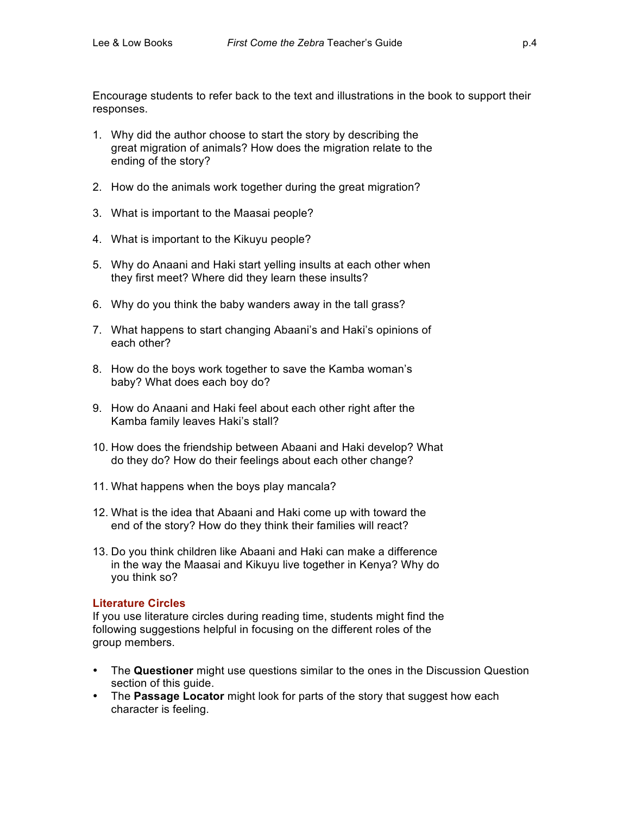Encourage students to refer back to the text and illustrations in the book to support their responses.

- 1. Why did the author choose to start the story by describing the great migration of animals? How does the migration relate to the ending of the story?
- 2. How do the animals work together during the great migration?
- 3. What is important to the Maasai people?
- 4. What is important to the Kikuyu people?
- 5. Why do Anaani and Haki start yelling insults at each other when they first meet? Where did they learn these insults?
- 6. Why do you think the baby wanders away in the tall grass?
- 7. What happens to start changing Abaani's and Haki's opinions of each other?
- 8. How do the boys work together to save the Kamba woman's baby? What does each boy do?
- 9. How do Anaani and Haki feel about each other right after the Kamba family leaves Haki's stall?
- 10. How does the friendship between Abaani and Haki develop? What do they do? How do their feelings about each other change?
- 11. What happens when the boys play mancala?
- 12. What is the idea that Abaani and Haki come up with toward the end of the story? How do they think their families will react?
- 13. Do you think children like Abaani and Haki can make a difference in the way the Maasai and Kikuyu live together in Kenya? Why do you think so?

## **Literature Circles**

If you use literature circles during reading time, students might find the following suggestions helpful in focusing on the different roles of the group members.

- The **Questioner** might use questions similar to the ones in the Discussion Question section of this guide.
- The **Passage Locator** might look for parts of the story that suggest how each character is feeling.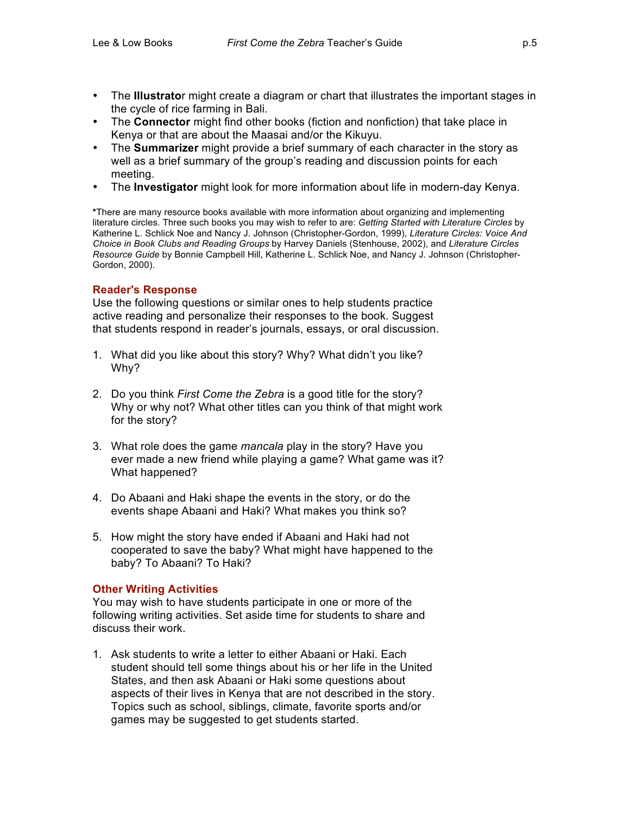- The **Illustrato**r might create a diagram or chart that illustrates the important stages in the cycle of rice farming in Bali.
- The **Connector** might find other books (fiction and nonfiction) that take place in Kenya or that are about the Maasai and/or the Kikuyu.
- The **Summarizer** might provide a brief summary of each character in the story as well as a brief summary of the group's reading and discussion points for each meeting.
- The **Investigator** might look for more information about life in modern-day Kenya.

**\***There are many resource books available with more information about organizing and implementing literature circles. Three such books you may wish to refer to are: *Getting Started with Literature Circles* by Katherine L. Schlick Noe and Nancy J. Johnson (Christopher-Gordon, 1999), *Literature Circles: Voice And Choice in Book Clubs and Reading Groups* by Harvey Daniels (Stenhouse, 2002), and *Literature Circles Resource Guide* by Bonnie Campbell Hill, Katherine L. Schlick Noe, and Nancy J. Johnson (Christopher-Gordon, 2000).

## **Reader's Response**

Use the following questions or similar ones to help students practice active reading and personalize their responses to the book. Suggest that students respond in reader's journals, essays, or oral discussion.

- 1. What did you like about this story? Why? What didn't you like? Why?
- 2. Do you think *First Come the Zebra* is a good title for the story? Why or why not? What other titles can you think of that might work for the story?
- 3. What role does the game *mancala* play in the story? Have you ever made a new friend while playing a game? What game was it? What happened?
- 4. Do Abaani and Haki shape the events in the story, or do the events shape Abaani and Haki? What makes you think so?
- 5. How might the story have ended if Abaani and Haki had not cooperated to save the baby? What might have happened to the baby? To Abaani? To Haki?

# **Other Writing Activities**

You may wish to have students participate in one or more of the following writing activities. Set aside time for students to share and discuss their work.

1. Ask students to write a letter to either Abaani or Haki. Each student should tell some things about his or her life in the United States, and then ask Abaani or Haki some questions about aspects of their lives in Kenya that are not described in the story. Topics such as school, siblings, climate, favorite sports and/or games may be suggested to get students started.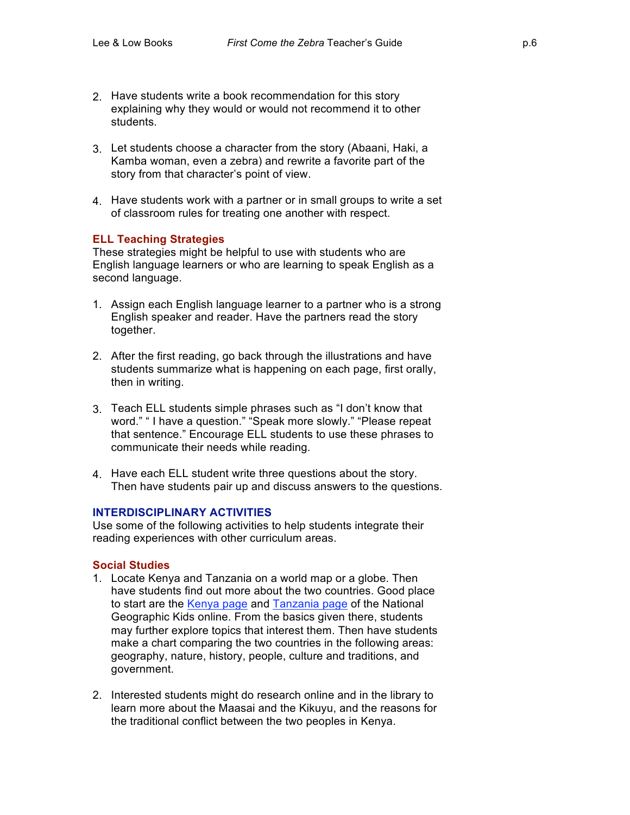- 2. Have students write a book recommendation for this story explaining why they would or would not recommend it to other students.
- 3. Let students choose a character from the story (Abaani, Haki, a Kamba woman, even a zebra) and rewrite a favorite part of the story from that character's point of view.
- 4. Have students work with a partner or in small groups to write a set of classroom rules for treating one another with respect.

## **ELL Teaching Strategies**

These strategies might be helpful to use with students who are English language learners or who are learning to speak English as a second language.

- 1. Assign each English language learner to a partner who is a strong English speaker and reader. Have the partners read the story together.
- 2. After the first reading, go back through the illustrations and have students summarize what is happening on each page, first orally, then in writing.
- 3. Teach ELL students simple phrases such as "I don't know that word." " I have a question." "Speak more slowly." "Please repeat that sentence." Encourage ELL students to use these phrases to communicate their needs while reading.
- 4. Have each ELL student write three questions about the story. Then have students pair up and discuss answers to the questions.

## **INTERDISCIPLINARY ACTIVITIES**

Use some of the following activities to help students integrate their reading experiences with other curriculum areas.

## **Social Studies**

- 1. Locate Kenya and Tanzania on a world map or a globe. Then have students find out more about the two countries. Good place to start are the Kenya page and Tanzania page of the National Geographic Kids online. From the basics given there, students may further explore topics that interest them. Then have students make a chart comparing the two countries in the following areas: geography, nature, history, people, culture and traditions, and government.
- 2. Interested students might do research online and in the library to learn more about the Maasai and the Kikuyu, and the reasons for the traditional conflict between the two peoples in Kenya.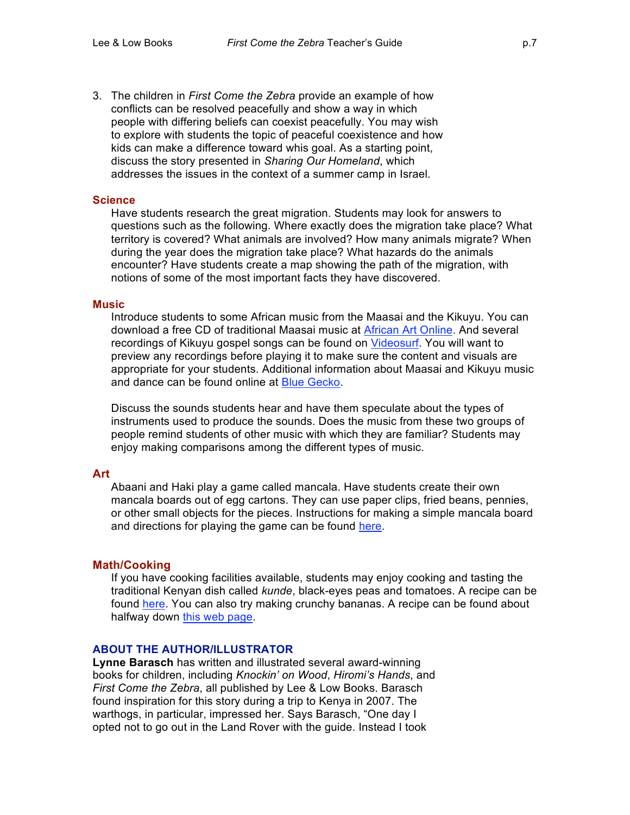3. The children in *First Come the Zebra* provide an example of how conflicts can be resolved peacefully and show a way in which people with differing beliefs can coexist peacefully. You may wish to explore with students the topic of peaceful coexistence and how kids can make a difference toward whis goal. As a starting point, discuss the story presented in *Sharing Our Homeland*, which addresses the issues in the context of a summer camp in Israel.

#### **Science**

Have students research the great migration. Students may look for answers to questions such as the following. Where exactly does the migration take place? What territory is covered? What animals are involved? How many animals migrate? When during the year does the migration take place? What hazards do the animals encounter? Have students create a map showing the path of the migration, with notions of some of the most important facts they have discovered.

#### **Music**

Introduce students to some African music from the Maasai and the Kikuyu. You can download a free CD of traditional Maasai music at African Art Online. And several recordings of Kikuyu gospel songs can be found on Videosurf. You will want to preview any recordings before playing it to make sure the content and visuals are appropriate for your students. Additional information about Maasai and Kikuyu music and dance can be found online at Blue Gecko.

Discuss the sounds students hear and have them speculate about the types of instruments used to produce the sounds. Does the music from these two groups of people remind students of other music with which they are familiar? Students may enjoy making comparisons among the different types of music.

### **Art**

Abaani and Haki play a game called mancala. Have students create their own mancala boards out of egg cartons. They can use paper clips, fried beans, pennies, or other small objects for the pieces. Instructions for making a simple mancala board and directions for playing the game can be found here.

#### **Math/Cooking**

If you have cooking facilities available, students may enjoy cooking and tasting the traditional Kenyan dish called *kunde*, black-eyes peas and tomatoes. A recipe can be found here. You can also try making crunchy bananas. A recipe can be found about halfway down this web page.

### **ABOUT THE AUTHOR/ILLUSTRATOR**

**Lynne Barasch** has written and illustrated several award-winning books for children, including *Knockin' on Wood*, *Hiromi's Hands*, and *First Come the Zebra*, all published by Lee & Low Books. Barasch found inspiration for this story during a trip to Kenya in 2007. The warthogs, in particular, impressed her. Says Barasch, "One day I opted not to go out in the Land Rover with the guide. Instead I took